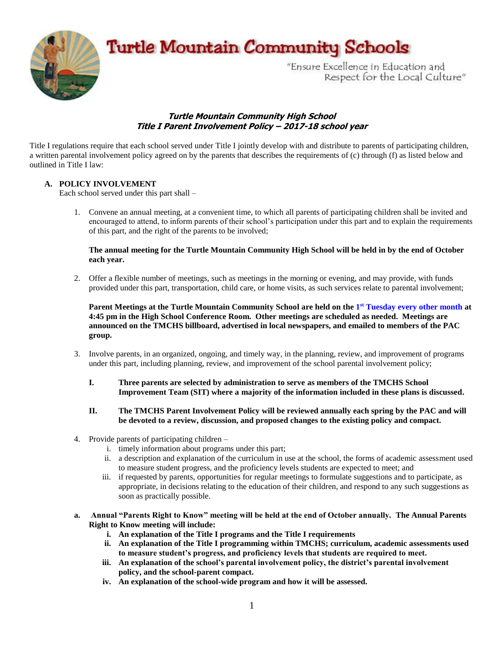**Turtle Mountain Community Schools** 



"Ensure Excellence in Education and Respect for the Local Culture"

# **Turtle Mountain Community High School Title I Parent Involvement Policy – 2017-18 school year**

Title I regulations require that each school served under Title I jointly develop with and distribute to parents of participating children, a written parental involvement policy agreed on by the parents that describes the requirements of (c) through (f) as listed below and outlined in Title I law:

# **A. POLICY INVOLVEMENT**

Each school served under this part shall –

1. Convene an annual meeting, at a convenient time, to which all parents of participating children shall be invited and encouraged to attend, to inform parents of their school's participation under this part and to explain the requirements of this part, and the right of the parents to be involved;

#### **The annual meeting for the Turtle Mountain Community High School will be held in by the end of October each year.**

2. Offer a flexible number of meetings, such as meetings in the morning or evening, and may provide, with funds provided under this part, transportation, child care, or home visits, as such services relate to parental involvement;

**Parent Meetings at the Turtle Mountain Community School are held on the 1 st Tuesday every other month at 4:45 pm in the High School Conference Room. Other meetings are scheduled as needed. Meetings are announced on the TMCHS billboard, advertised in local newspapers, and emailed to members of the PAC group.** 

- 3. Involve parents, in an organized, ongoing, and timely way, in the planning, review, and improvement of programs under this part, including planning, review, and improvement of the school parental involvement policy;
	- **I. Three parents are selected by administration to serve as members of the TMCHS School Improvement Team (SIT) where a majority of the information included in these plans is discussed.**
	- **II. The TMCHS Parent Involvement Policy will be reviewed annually each spring by the PAC and will be devoted to a review, discussion, and proposed changes to the existing policy and compact.**
- 4. Provide parents of participating children
	- i. timely information about programs under this part;
	- ii. a description and explanation of the curriculum in use at the school, the forms of academic assessment used to measure student progress, and the proficiency levels students are expected to meet; and
	- iii. if requested by parents, opportunities for regular meetings to formulate suggestions and to participate, as appropriate, in decisions relating to the education of their children, and respond to any such suggestions as soon as practically possible.
- **a. Annual "Parents Right to Know" meeting will be held at the end of October annually. The Annual Parents Right to Know meeting will include:**
	- **i. An explanation of the Title I programs and the Title I requirements**
	- **ii. An explanation of the Title I programming within TMCHS; curriculum, academic assessments used to measure student's progress, and proficiency levels that students are required to meet.**
	- **iii. An explanation of the school's parental involvement policy, the district's parental involvement policy, and the school-parent compact.**
	- **iv. An explanation of the school-wide program and how it will be assessed.**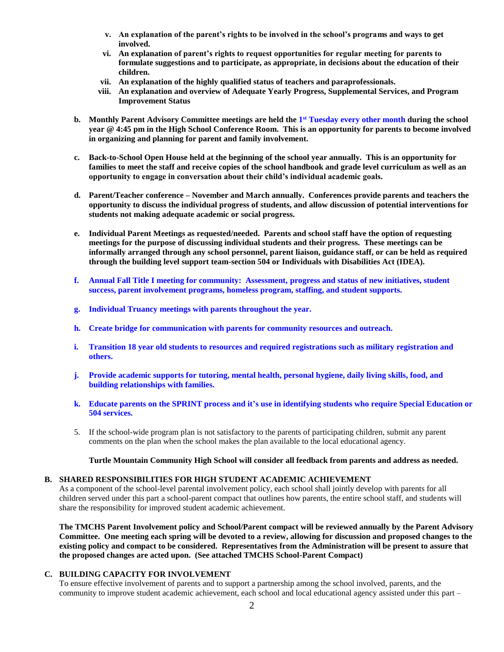- **v. An explanation of the parent's rights to be involved in the school's programs and ways to get involved.**
- **vi. An explanation of parent's rights to request opportunities for regular meeting for parents to formulate suggestions and to participate, as appropriate, in decisions about the education of their children.**
- **vii. An explanation of the highly qualified status of teachers and paraprofessionals.**
- **viii. An explanation and overview of Adequate Yearly Progress, Supplemental Services, and Program Improvement Status**
- **b. Monthly Parent Advisory Committee meetings are held the 1 st Tuesday every other month during the school year @ 4:45 pm in the High School Conference Room. This is an opportunity for parents to become involved in organizing and planning for parent and family involvement.**
- **c. Back-to-School Open House held at the beginning of the school year annually. This is an opportunity for families to meet the staff and receive copies of the school handbook and grade level curriculum as well as an opportunity to engage in conversation about their child's individual academic goals.**
- **d. Parent/Teacher conference – November and March annually. Conferences provide parents and teachers the opportunity to discuss the individual progress of students, and allow discussion of potential interventions for students not making adequate academic or social progress.**
- **e. Individual Parent Meetings as requested/needed. Parents and school staff have the option of requesting meetings for the purpose of discussing individual students and their progress. These meetings can be informally arranged through any school personnel, parent liaison, guidance staff, or can be held as required through the building level support team-section 504 or Individuals with Disabilities Act (IDEA).**
- **f. Annual Fall Title I meeting for community: Assessment, progress and status of new initiatives, student success, parent involvement programs, homeless program, staffing, and student supports.**
- **g. Individual Truancy meetings with parents throughout the year.**
- **h. Create bridge for communication with parents for community resources and outreach.**
- **i. Transition 18 year old students to resources and required registrations such as military registration and others.**
- **j. Provide academic supports for tutoring, mental health, personal hygiene, daily living skills, food, and building relationships with families.**
- **k. Educate parents on the SPRINT process and it's use in identifying students who require Special Education or 504 services.**
- 5. If the school-wide program plan is not satisfactory to the parents of participating children, submit any parent comments on the plan when the school makes the plan available to the local educational agency.

**Turtle Mountain Community High School will consider all feedback from parents and address as needed.**

## **B. SHARED RESPONSIBILITIES FOR HIGH STUDENT ACADEMIC ACHIEVEMENT**

As a component of the school-level parental involvement policy, each school shall jointly develop with parents for all children served under this part a school-parent compact that outlines how parents, the entire school staff, and students will share the responsibility for improved student academic achievement.

**The TMCHS Parent Involvement policy and School/Parent compact will be reviewed annually by the Parent Advisory Committee. One meeting each spring will be devoted to a review, allowing for discussion and proposed changes to the existing policy and compact to be considered. Representatives from the Administration will be present to assure that the proposed changes are acted upon. (See attached TMCHS School-Parent Compact)**

## **C. BUILDING CAPACITY FOR INVOLVEMENT**

To ensure effective involvement of parents and to support a partnership among the school involved, parents, and the community to improve student academic achievement, each school and local educational agency assisted under this part –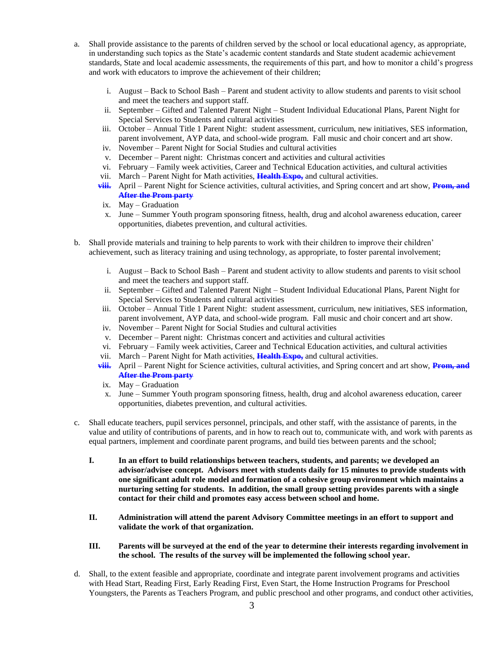- a. Shall provide assistance to the parents of children served by the school or local educational agency, as appropriate, in understanding such topics as the State's academic content standards and State student academic achievement standards, State and local academic assessments, the requirements of this part, and how to monitor a child's progress and work with educators to improve the achievement of their children;
	- i. August Back to School Bash Parent and student activity to allow students and parents to visit school and meet the teachers and support staff.
	- ii. September Gifted and Talented Parent Night Student Individual Educational Plans, Parent Night for Special Services to Students and cultural activities
	- iii. October Annual Title 1 Parent Night: student assessment, curriculum, new initiatives, SES information, parent involvement, AYP data, and school-wide program. Fall music and choir concert and art show.
	- iv. November Parent Night for Social Studies and cultural activities
	- v. December Parent night: Christmas concert and activities and cultural activities
	- vi. February Family week activities, Career and Technical Education activities, and cultural activities
	- vii. March Parent Night for Math activities, **Health Expo,** and cultural activities.
	- **viii.** April Parent Night for Science activities, cultural activities, and Spring concert and art show, **Prom, and After the Prom party**
	- ix. May Graduation
	- x. June Summer Youth program sponsoring fitness, health, drug and alcohol awareness education, career opportunities, diabetes prevention, and cultural activities.
- b. Shall provide materials and training to help parents to work with their children to improve their children' achievement, such as literacy training and using technology, as appropriate, to foster parental involvement;
	- i. August Back to School Bash Parent and student activity to allow students and parents to visit school and meet the teachers and support staff.
	- ii. September Gifted and Talented Parent Night Student Individual Educational Plans, Parent Night for Special Services to Students and cultural activities
	- iii. October Annual Title 1 Parent Night: student assessment, curriculum, new initiatives, SES information, parent involvement, AYP data, and school-wide program. Fall music and choir concert and art show.
	- iv. November Parent Night for Social Studies and cultural activities
	- v. December Parent night: Christmas concert and activities and cultural activities
	- vi. February Family week activities, Career and Technical Education activities, and cultural activities
	- vii. March Parent Night for Math activities, **Health Expo,** and cultural activities.
	- **viii.** April Parent Night for Science activities, cultural activities, and Spring concert and art show, **Prom, and After the Prom party**
	- ix. May Graduation
	- x. June Summer Youth program sponsoring fitness, health, drug and alcohol awareness education, career opportunities, diabetes prevention, and cultural activities.
- c. Shall educate teachers, pupil services personnel, principals, and other staff, with the assistance of parents, in the value and utility of contributions of parents, and in how to reach out to, communicate with, and work with parents as equal partners, implement and coordinate parent programs, and build ties between parents and the school;
	- **I. In an effort to build relationships between teachers, students, and parents; we developed an advisor/advisee concept. Advisors meet with students daily for 15 minutes to provide students with one significant adult role model and formation of a cohesive group environment which maintains a nurturing setting for students. In addition, the small group setting provides parents with a single contact for their child and promotes easy access between school and home.**
	- **II. Administration will attend the parent Advisory Committee meetings in an effort to support and validate the work of that organization.**
	- **III. Parents will be surveyed at the end of the year to determine their interests regarding involvement in the school. The results of the survey will be implemented the following school year.**
- d. Shall, to the extent feasible and appropriate, coordinate and integrate parent involvement programs and activities with Head Start, Reading First, Early Reading First, Even Start, the Home Instruction Programs for Preschool Youngsters, the Parents as Teachers Program, and public preschool and other programs, and conduct other activities,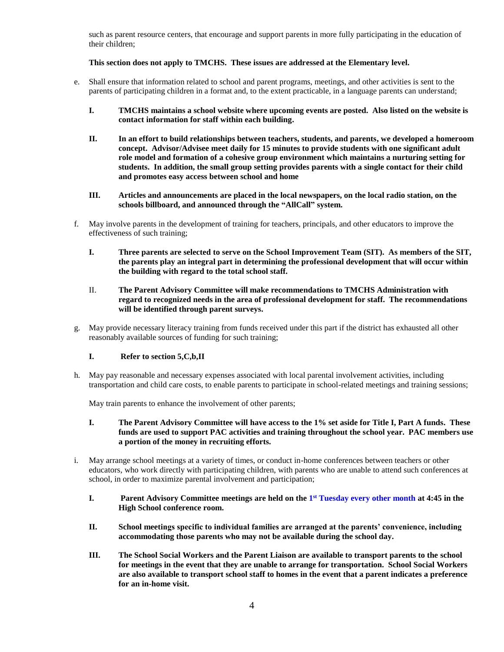such as parent resource centers, that encourage and support parents in more fully participating in the education of their children;

#### **This section does not apply to TMCHS. These issues are addressed at the Elementary level.**

- e. Shall ensure that information related to school and parent programs, meetings, and other activities is sent to the parents of participating children in a format and, to the extent practicable, in a language parents can understand;
	- **I. TMCHS maintains a school website where upcoming events are posted. Also listed on the website is contact information for staff within each building.**
	- **II. In an effort to build relationships between teachers, students, and parents, we developed a homeroom concept. Advisor/Advisee meet daily for 15 minutes to provide students with one significant adult role model and formation of a cohesive group environment which maintains a nurturing setting for students. In addition, the small group setting provides parents with a single contact for their child and promotes easy access between school and home**
	- **III. Articles and announcements are placed in the local newspapers, on the local radio station, on the schools billboard, and announced through the "AllCall" system.**
- f. May involve parents in the development of training for teachers, principals, and other educators to improve the effectiveness of such training;
	- **I. Three parents are selected to serve on the School Improvement Team (SIT). As members of the SIT, the parents play an integral part in determining the professional development that will occur within the building with regard to the total school staff.**
	- II. **The Parent Advisory Committee will make recommendations to TMCHS Administration with regard to recognized needs in the area of professional development for staff. The recommendations will be identified through parent surveys.**
- g. May provide necessary literacy training from funds received under this part if the district has exhausted all other reasonably available sources of funding for such training;

#### **I. Refer to section 5,C,b,II**

h. May pay reasonable and necessary expenses associated with local parental involvement activities, including transportation and child care costs, to enable parents to participate in school-related meetings and training sessions;

May train parents to enhance the involvement of other parents;

- **I. The Parent Advisory Committee will have access to the 1% set aside for Title I, Part A funds. These funds are used to support PAC activities and training throughout the school year. PAC members use a portion of the money in recruiting efforts.**
- i. May arrange school meetings at a variety of times, or conduct in-home conferences between teachers or other educators, who work directly with participating children, with parents who are unable to attend such conferences at school, in order to maximize parental involvement and participation;
	- **I. Parent Advisory Committee meetings are held on the 1 st Tuesday every other month at 4:45 in the High School conference room.**
	- **II. School meetings specific to individual families are arranged at the parents' convenience, including accommodating those parents who may not be available during the school day.**
	- **III. The School Social Workers and the Parent Liaison are available to transport parents to the school for meetings in the event that they are unable to arrange for transportation. School Social Workers are also available to transport school staff to homes in the event that a parent indicates a preference for an in-home visit.**